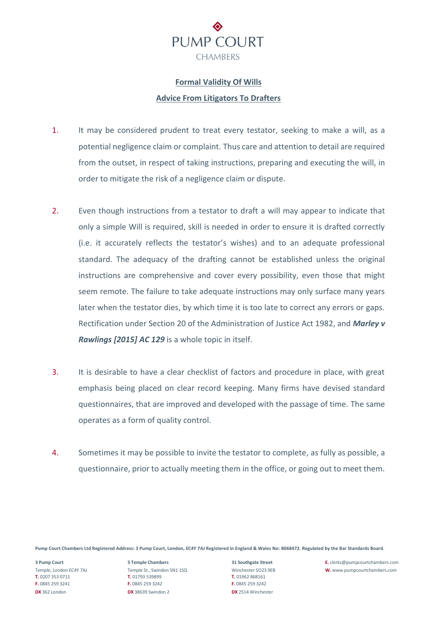

# **Formal Validity Of Wills Advice From Litigators To Drafters**

- 1. It may be considered prudent to treat every testator, seeking to make a will, as a potential negligence claim or complaint. Thus care and attention to detail are required from the outset, in respect of taking instructions, preparing and executing the will, in order to mitigate the risk of a negligence claim or dispute.
- 2. Even though instructions from a testator to draft a will may appear to indicate that only a simple Will is required, skill is needed in order to ensure it is drafted correctly (i.e. it accurately reflects the testator's wishes) and to an adequate professional standard. The adequacy of the drafting cannot be established unless the original instructions are comprehensive and cover every possibility, even those that might seem remote. The failure to take adequate instructions may only surface many years later when the testator dies, by which time it is too late to correct any errors or gaps. Rectification under Section 20 of the Administration of Justice Act 1982, and *Marley v Rawlings [2015] AC 129* is a whole topic in itself.
- 3. It is desirable to have a clear checklist of factors and procedure in place, with great emphasis being placed on clear record keeping. Many firms have devised standard questionnaires, that are improved and developed with the passage of time. The same operates as a form of quality control.
- 4. Sometimes it may be possible to invite the testator to complete, as fully as possible, a questionnaire, prior to actually meeting them in the office, or going out to meet them.

**Pump Court Chambers Ltd Registered Address: 3 Pump Court, London, EC4Y 7AJ Registered in England & Wales No: 8068472. Regulated by the Bar Standards Board.**

**T.** 0207 353 0711 **T.** 01793 539899 **T.** 01962 868161 **F.** 0845 259 3241 **F.** 0845 259 3242 **F.** 0845 259 3242 **DX** 362 London **DX** 38639 Swindon 2 **DX** 2514 Winchester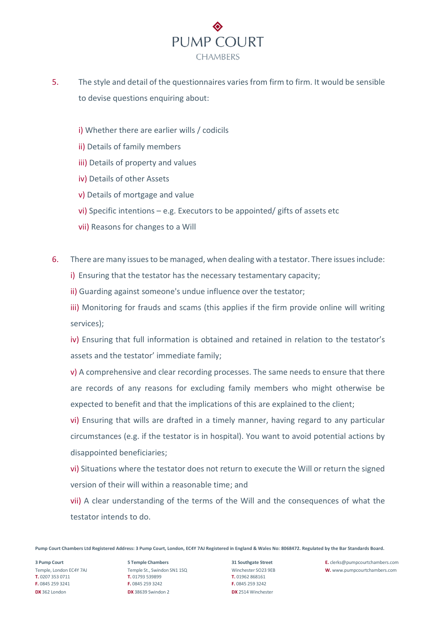

- 5. The style and detail of the questionnaires varies from firm to firm. It would be sensible to devise questions enquiring about:
	- i) Whether there are earlier wills / codicils
	- ii) Details of family members
	- iii) Details of property and values
	- iv) Details of other Assets
	- v) Details of mortgage and value
	- vi) Specific intentions e.g. Executors to be appointed/ gifts of assets etc
	- vii) Reasons for changes to a Will
- 6. There are many issues to be managed, when dealing with a testator. There issues include:
	- i) Ensuring that the testator has the necessary testamentary capacity;
	- ii) Guarding against someone's undue influence over the testator;

iii) Monitoring for frauds and scams (this applies if the firm provide online will writing services);

iv) Ensuring that full information is obtained and retained in relation to the testator's assets and the testator' immediate family;

v) A comprehensive and clear recording processes. The same needs to ensure that there are records of any reasons for excluding family members who might otherwise be expected to benefit and that the implications of this are explained to the client;

vi) Ensuring that wills are drafted in a timely manner, having regard to any particular circumstances (e.g. if the testator is in hospital). You want to avoid potential actions by disappointed beneficiaries;

vi) Situations where the testator does not return to execute the Will or return the signed version of their will within a reasonable time; and

vii) A clear understanding of the terms of the Will and the consequences of what the testator intends to do.

**Pump Court Chambers Ltd Registered Address: 3 Pump Court, London, EC4Y 7AJ Registered in England & Wales No: 8068472. Regulated by the Bar Standards Board.**

**T.** 0207 353 0711 **T.** 01793 539899 **T.** 01962 868161 **F.** 0845 259 3241 **F.** 0845 259 3242 **F.** 0845 259 3242 **DX** 362 London **DX** 38639 Swindon 2 **DX** 2514 Winchester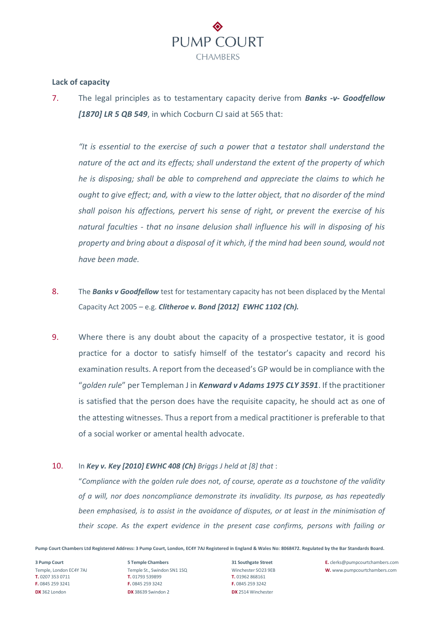

### **Lack of capacity**

7. The legal principles as to testamentary capacity derive from *Banks -v- Goodfellow [1870] LR 5 QB 549*, in which Cocburn CJ said at 565 that:

*"It is essential to the exercise of such a power that a testator shall understand the nature of the act and its effects; shall understand the extent of the property of which he is disposing; shall be able to comprehend and appreciate the claims to which he ought to give effect; and, with a view to the latter object, that no disorder of the mind shall poison his affections, pervert his sense of right, or prevent the exercise of his natural faculties - that no insane delusion shall influence his will in disposing of his property and bring about a disposal of it which, if the mind had been sound, would not have been made.*

- 8. The **Banks v Goodfellow** test for testamentary capacity has not been displaced by the Mental Capacity Act 2005 – e.g. *Clitheroe v. Bond [2012] EWHC 1102 (Ch).*
- 9. Where there is any doubt about the capacity of a prospective testator, it is good practice for a doctor to satisfy himself of the testator's capacity and record his examination results. A report from the deceased's GP would be in compliance with the "*golden rule*" per Templeman J in *Kenward v Adams 1975 CLY 3591*. If the practitioner is satisfied that the person does have the requisite capacity, he should act as one of the attesting witnesses. Thus a report from a medical practitioner is preferable to that of a social worker or amental health advocate.

## 10. In *Key v. Key [2010] EWHC 408 (Ch) Briggs J held at [8] that* :

"*Compliance with the golden rule does not, of course, operate as a touchstone of the validity of a will, nor does noncompliance demonstrate its invalidity. Its purpose, as has repeatedly been emphasised, is to assist in the avoidance of disputes, or at least in the minimisation of their scope. As the expert evidence in the present case confirms, persons with failing or* 

**Pump Court Chambers Ltd Registered Address: 3 Pump Court, London, EC4Y 7AJ Registered in England & Wales No: 8068472. Regulated by the Bar Standards Board.**

**T.** 0207 353 0711 **T.** 01793 539899 **T.** 01962 868161 **F.** 0845 259 3241 **F.** 0845 259 3242 **F.** 0845 259 3242 **DX** 362 London **DX** 38639 Swindon 2 **DX** 2514 Winchester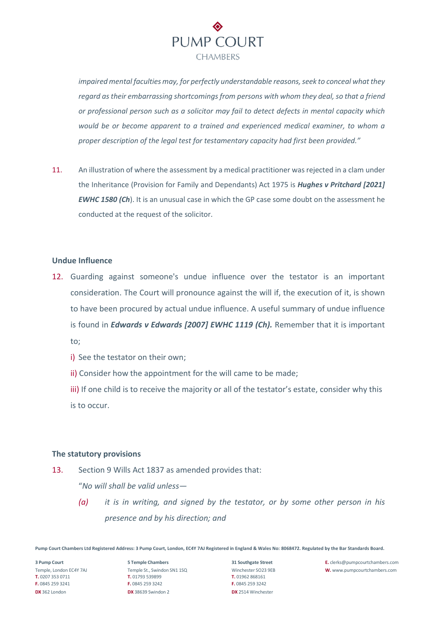

*impaired mental faculties may, for perfectly understandable reasons, seek to conceal what they regard as their embarrassing shortcomings from persons with whom they deal, so that a friend or professional person such as a solicitor may fail to detect defects in mental capacity which would be or become apparent to a trained and experienced medical examiner, to whom a proper description of the legal test for testamentary capacity had first been provided."* 

11. An illustration of where the assessment by a medical practitioner was rejected in a clam under the Inheritance (Provision for Family and Dependants) Act 1975 is *Hughes v Pritchard [2021] EWHC 1580 (Ch)*. It is an unusual case in which the GP case some doubt on the assessment he conducted at the request of the solicitor.

## **Undue Influence**

- 12. Guarding against someone's undue influence over the testator is an important consideration. The Court will pronounce against the will if, the execution of it, is shown to have been procured by actual undue influence. A useful summary of undue influence is found in *Edwards v Edwards [2007] EWHC 1119 (Ch).* Remember that it is important to;
	- i) See the testator on their own;
	- ii) Consider how the appointment for the will came to be made;
	- iii) If one child is to receive the majority or all of the testator's estate, consider why this is to occur.

### **The statutory provisions**

13. Section 9 Wills Act 1837 as amended provides that:

"*No will shall be valid unless—*

*(a) it is in writing, and signed by the testator, or by some other person in his presence and by his direction; and*

**Pump Court Chambers Ltd Registered Address: 3 Pump Court, London, EC4Y 7AJ Registered in England & Wales No: 8068472. Regulated by the Bar Standards Board.**

**T.** 0207 353 0711 **T.** 01793 539899 **T.** 01962 868161 **F.** 0845 259 3241 **F.** 0845 259 3242 **F.** 0845 259 3242 **DX** 362 London **DX** 38639 Swindon 2 **DX** 2514 Winchester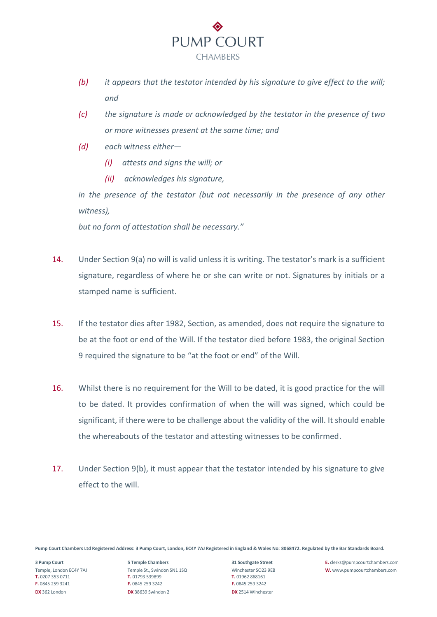

- *(b) it appears that the testator intended by his signature to give effect to the will; and*
- *(c) the signature is made or acknowledged by the testator in the presence of two or more witnesses present at the same time; and*
- *(d) each witness either—*
	- *(i) attests and signs the will; or*
	- *(ii) acknowledges his signature,*

*in the presence of the testator (but not necessarily in the presence of any other witness),*

*but no form of attestation shall be necessary."*

- 14. Under Section 9(a) no will is valid unless it is writing. The testator's mark is a sufficient signature, regardless of where he or she can write or not. Signatures by initials or a stamped name is sufficient.
- 15. If the testator dies after 1982, Section, as amended, does not require the signature to be at the foot or end of the Will. If the testator died before 1983, the original Section 9 required the signature to be "at the foot or end" of the Will.
- 16. Whilst there is no requirement for the Will to be dated, it is good practice for the will to be dated. It provides confirmation of when the will was signed, which could be significant, if there were to be challenge about the validity of the will. It should enable the whereabouts of the testator and attesting witnesses to be confirmed.
- 17. Under Section 9(b), it must appear that the testator intended by his signature to give effect to the will.

**Pump Court Chambers Ltd Registered Address: 3 Pump Court, London, EC4Y 7AJ Registered in England & Wales No: 8068472. Regulated by the Bar Standards Board.**

**T.** 0207 353 0711 **T.** 01793 539899 **T.** 01962 868161 **F.** 0845 259 3241 **F.** 0845 259 3242 **F.** 0845 259 3242 **DX** 362 London **DX** 38639 Swindon 2 **DX** 2514 Winchester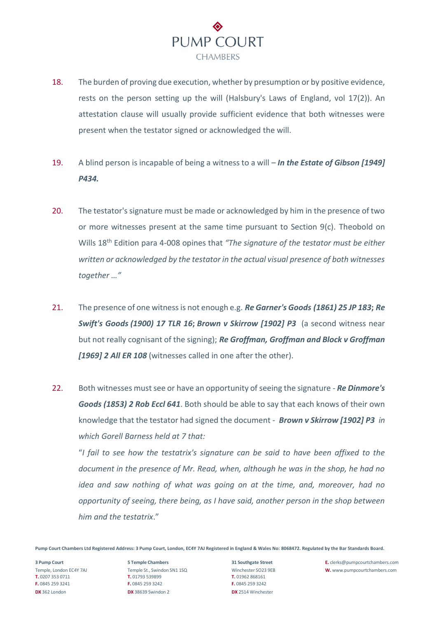

- 18. The burden of proving due execution, whether by presumption or by positive evidence, rests on the person setting up the will (Halsbury's Laws of England, vol 17(2)). An attestation clause will usually provide sufficient evidence that both witnesses were present when the testator signed or acknowledged the will.
- 19. A blind person is incapable of being a witness to a will *In the Estate of Gibson [1949] P434.*
- 20. The testator's signature must be made or acknowledged by him in the presence of two or more witnesses present at the same time pursuant to Section 9(c). Theobold on Wills 18th Edition para 4-008 opines that *"The signature of the testator must be either written or acknowledged by the testator in the actual visual presence of both witnesses together …"*
- 21. The presence of one witness is not enough e.g. *Re Garner's Goods (1861) 25 JP 183***;** *Re Swift's Goods (1900) 17 TLR 16***;** *Brown v Skirrow [1902] P3* (a second witness near but not really cognisant of the signing); *Re Groffman, Groffman and Block v Groffman [1969] 2 All ER 108* (witnesses called in one after the other).
- 22. Both witnesses must see or have an opportunity of seeing the signature *Re Dinmore's Goods (1853) 2 Rob Eccl 641*. Both should be able to say that each knows of their own knowledge that the testator had signed the document - *Brown v Skirrow [1902] P3 [i](https://www.lexisnexis.com/uk/legal/search/enhRunRemoteLink.do?linkInfo=F%23GB%23P%23sel1%251902%25year%251902%25page%253%25&A=0.4474127048415272&backKey=20_T29107903530&service=citation&ersKey=23_T29107903520&langcountry=GB)n which Gorell Barness held at 7 that:*

"*I fail to see how the testatrix's signature can be said to have been affixed to the document in the presence of Mr. Read, when, although he was in the shop, he had no idea and saw nothing of what was going on at the time, and, moreover, had no opportunity of seeing, there being, as I have said, another person in the shop between him and the testatrix*."

**Pump Court Chambers Ltd Registered Address: 3 Pump Court, London, EC4Y 7AJ Registered in England & Wales No: 8068472. Regulated by the Bar Standards Board.**

**T.** 0207 353 0711 **T.** 01793 539899 **T.** 01962 868161 **F.** 0845 259 3241 **F.** 0845 259 3242 **F.** 0845 259 3242 **DX** 362 London **DX** 38639 Swindon 2 **DX** 2514 Winchester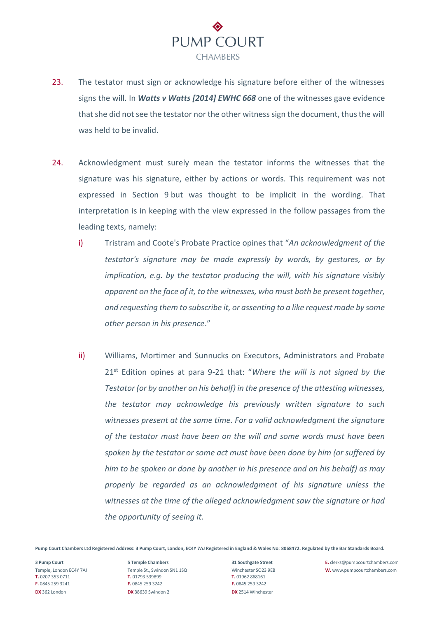

- 23. The testator must sign or acknowledge his signature before either of the witnesses signs the will. In *Watts v Watts [2014] EWHC 668* one of the witnesses gave evidence that she did not see the testator nor the other witness sign the document, thus the will was held to be invalid.
- 24. Acknowledgment must surely mean the testator informs the witnesses that the signature was his signature, either by actions or words. This requirement was not expressed in Section 9 but was thought to be implicit in the wording. That interpretation is in keeping with the view expressed in the follow passages from the leading texts, namely:
	- i) Tristram and Coote's Probate Practice opines that "*An acknowledgment of the testator's signature may be made expressly by words, by gestures, or by implication, e.g. by the testator producing the will, with his signature visibly apparent on the face of it, to the witnesses, who must both be present together, and requesting them to subscribe it, or assenting to a like request made by some other person in his presence*."
	- ii) Williams, Mortimer and Sunnucks on Executors, Administrators and Probate 21st Edition opines at para 9-21 that: "*Where the will is not signed by the Testator (or by another on his behalf) in the presence of the attesting witnesses, the testator may acknowledge his previously written signature to such witnesses present at the same time. For a valid acknowledgment the signature of the testator must have been on the will and some words must have been spoken by the testator or some act must have been done by him (or suffered by him to be spoken or done by another in his presence and on his behalf) as may properly be regarded as an acknowledgment of his signature unless the witnesses at the time of the alleged acknowledgment saw the signature or had the opportunity of seeing it.*

**Pump Court Chambers Ltd Registered Address: 3 Pump Court, London, EC4Y 7AJ Registered in England & Wales No: 8068472. Regulated by the Bar Standards Board.**

**T.** 0207 353 0711 **T.** 01793 539899 **T.** 01962 868161 **F.** 0845 259 3241 **F.** 0845 259 3242 **F.** 0845 259 3242 **DX** 362 London **DX** 38639 Swindon 2 **DX** 2514 Winchester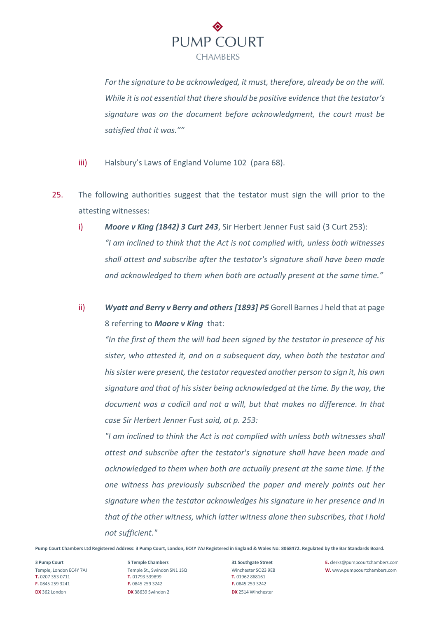

*For the signature to be acknowledged, it must, therefore, already be on the will. While it is not essential that there should be positive evidence that the testator's signature was on the document before acknowledgment, the court must be satisfied that it was.""* 

- iii) Halsbury's Laws of England Volume 102 (para 68).
- 25. The following authorities suggest that the testator must sign the will prior to the attesting witnesses:
	- i) *Moore v King (1842) 3 Curt 243*, Sir Herbert Jenner Fust said (3 Curt 253): *"I am inclined to think that the Act is not complied with, unless both witnesses shall attest and subscribe after the testator's signature shall have been made and acknowledged to them when both are actually present at the same time."*
	- ii) *Wyatt and Berry v Berry and others [1893] P5* Gorell Barnes J held that at page 8 referring to *Moore v King* that:

*"In the first of them the will had been signed by the testator in presence of his sister, who attested it, and on a subsequent day, when both the testator and his sister were present, the testator requested another person to sign it, his own signature and that of his sister being acknowledged at the time. By the way, the document was a codicil and not a will, but that makes no difference. In that case Sir Herbert Jenner Fust said, at p. 253:*

*"I am inclined to think the Act is not complied with unless both witnesses shall attest and subscribe after the testator's signature shall have been made and acknowledged to them when both are actually present at the same time. If the one witness has previously subscribed the paper and merely points out her signature when the testator acknowledges his signature in her presence and in that of the other witness, which latter witness alone then subscribes, that I hold not sufficient."*

**Pump Court Chambers Ltd Registered Address: 3 Pump Court, London, EC4Y 7AJ Registered in England & Wales No: 8068472. Regulated by the Bar Standards Board.**

**T.** 0207 353 0711 **T.** 01793 539899 **T.** 01962 868161 **F.** 0845 259 3241 **F.** 0845 259 3242 **F.** 0845 259 3242 **DX** 362 London **DX** 38639 Swindon 2 **DX** 2514 Winchester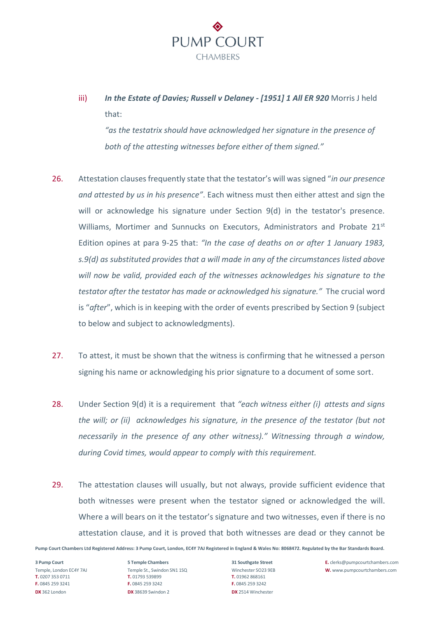

iii) *In the Estate of Davies; Russell v Delaney - [1951] 1 All ER 920* Morris J held that:

*"as the testatrix should have acknowledged her signature in the presence of both of the attesting witnesses before either of them signed."*

- 26. Attestation clauses frequently state that the testator's will was signed "*in our presence and attested by us in his presence"*. Each witness must then either attest and sign the will or acknowledge his signature under Section 9(d) in the testator's presence. Williams, Mortimer and Sunnucks on Executors, Administrators and Probate 21st Edition opines at para 9-25 that: *"In the case of deaths on or after 1 January 1983, s.9(d) as substituted provides that a will made in any of the circumstances listed above will now be valid, provided each of the witnesses acknowledges his signature to the testator after the testator has made or acknowledged his signature."* The crucial word is "*after*", which is in keeping with the order of events prescribed by Section 9 (subject to below and subject to acknowledgments).
- 27. To attest, it must be shown that the witness is confirming that he witnessed a person signing his name or acknowledging his prior signature to a document of some sort.
- 28. Under Section 9(d) it is a requirement that *"each witness either (i) attests and signs the will; or (ii) acknowledges his signature, in the presence of the testator (but not necessarily in the presence of any other witness)." Witnessing through a window, during Covid times, would appear to comply with this requirement.*
- 29. The attestation clauses will usually, but not always, provide sufficient evidence that both witnesses were present when the testator signed or acknowledged the will. Where a will bears on it the testator's signature and two witnesses, even if there is no attestation clause, and it is proved that both witnesses are dead or they cannot be

**Pump Court Chambers Ltd Registered Address: 3 Pump Court, London, EC4Y 7AJ Registered in England & Wales No: 8068472. Regulated by the Bar Standards Board.**

**T.** 0207 353 0711 **T.** 01793 539899 **T.** 01962 868161 **F.** 0845 259 3241 **F.** 0845 259 3242 **F.** 0845 259 3242 **DX** 362 London **DX** 38639 Swindon 2 **DX** 2514 Winchester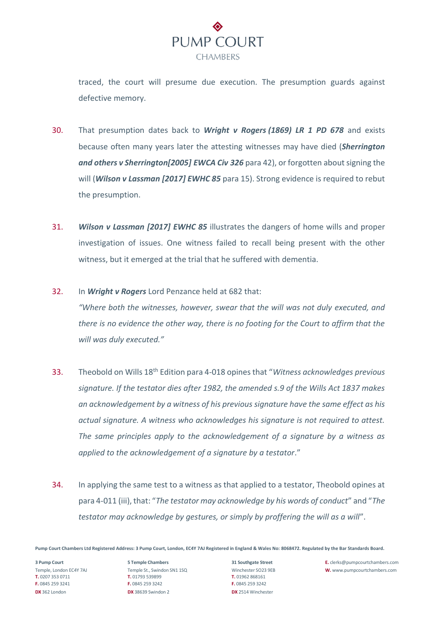

traced, the court will presume due execution. The presumption guards against defective memory.

- 30. That presumption dates back to *Wright v Rogers (1869) LR 1 PD 678* and exists because often many years later the attesting witnesses may have died (*Sherrington and others v Sherrington[2005] EWCA Civ 326* para 42), or forgotten aboutsigning the will (*Wilson v Lassman [2017] EWHC 85* para 15). Strong evidence is required to rebut the presumption.
- 31. *Wilson v Lassman [2017] EWHC 85* illustrates the dangers of home wills and proper investigation of issues. One witness failed to recall being present with the other witness, but it emerged at the trial that he suffered with dementia.
- 32. In *Wright v Rogers* Lord Penzance held at 682 that:

"Where both the witnesses, however, swear that the will was not duly executed, and *there is no evidence the other way, there is no footing for the Court to affirm that the will was duly executed."*

- 33. Theobold on Wills 18th Edition para 4-018 opines that "*Witness acknowledges previous signature. If the testator dies after 1982, the amended s.9 of the Wills Act 1837 makes an acknowledgement by a witness of his previous signature have the same effect as his actual signature. A witness who acknowledges his signature is not required to attest. The same principles apply to the acknowledgement of a signature by a witness as applied to the acknowledgement of a signature by a testator*."
- 34. In applying the same test to a witness as that applied to a testator, Theobold opines at para 4-011 (iii), that: "*The testator may acknowledge by his words of conduct*" and "*The testator may acknowledge by gestures, or simply by proffering the will as a will*".

**Pump Court Chambers Ltd Registered Address: 3 Pump Court, London, EC4Y 7AJ Registered in England & Wales No: 8068472. Regulated by the Bar Standards Board.**

**T.** 0207 353 0711 **T.** 01793 539899 **T.** 01962 868161 **F.** 0845 259 3241 **F.** 0845 259 3242 **F.** 0845 259 3242 **DX** 362 London **DX** 38639 Swindon 2 **DX** 2514 Winchester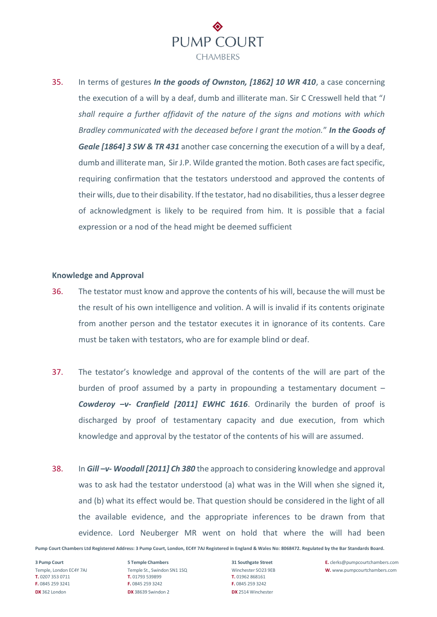

35. In terms of gestures *In the goods of Ownston, [1862] 10 WR 410*, a case concerning the execution of a will by a deaf, dumb and illiterate man. Sir C Cresswell held that "*I shall require a further affidavit of the nature of the signs and motions with which Bradley communicated with the deceased before I grant the motion.*" *In the Goods of Geale [1864] 3 SW & TR 431* another case concerning the execution of a will by a deaf, dumb and illiterate man, Sir J.P. Wilde granted the motion. Both cases are fact specific, requiring confirmation that the testators understood and approved the contents of their wills, due to their disability. If the testator, had no disabilities, thus a lesser degree of acknowledgment is likely to be required from him. It is possible that a facial expression or a nod of the head might be deemed sufficient

#### **Knowledge and Approval**

- 36. The testator must know and approve the contents of his will, because the will must be the result of his own intelligence and volition. A will is invalid if its contents originate from another person and the testator executes it in ignorance of its contents. Care must be taken with testators, who are for example blind or deaf.
- 37. The testator's knowledge and approval of the contents of the will are part of the burden of proof assumed by a party in propounding a testamentary document – *Cowderoy –v- Cranfield [2011] EWHC 1616*. Ordinarily the burden of proof is discharged by proof of testamentary capacity and due execution, from which knowledge and approval by the testator of the contents of his will are assumed.
- 38. In *Gill –v- Woodall [2011] Ch 380* the approach to considering knowledge and approval was to ask had the testator understood (a) what was in the Will when she signed it, and (b) what its effect would be. That question should be considered in the light of all the available evidence, and the appropriate inferences to be drawn from that evidence. Lord Neuberger MR went on hold that where the will had been

**Pump Court Chambers Ltd Registered Address: 3 Pump Court, London, EC4Y 7AJ Registered in England & Wales No: 8068472. Regulated by the Bar Standards Board.**

**T.** 0207 353 0711 **T.** 01793 539899 **T.** 01962 868161 **F.** 0845 259 3241 **F.** 0845 259 3242 **F.** 0845 259 3242 **DX** 362 London **DX** 38639 Swindon 2 **DX** 2514 Winchester